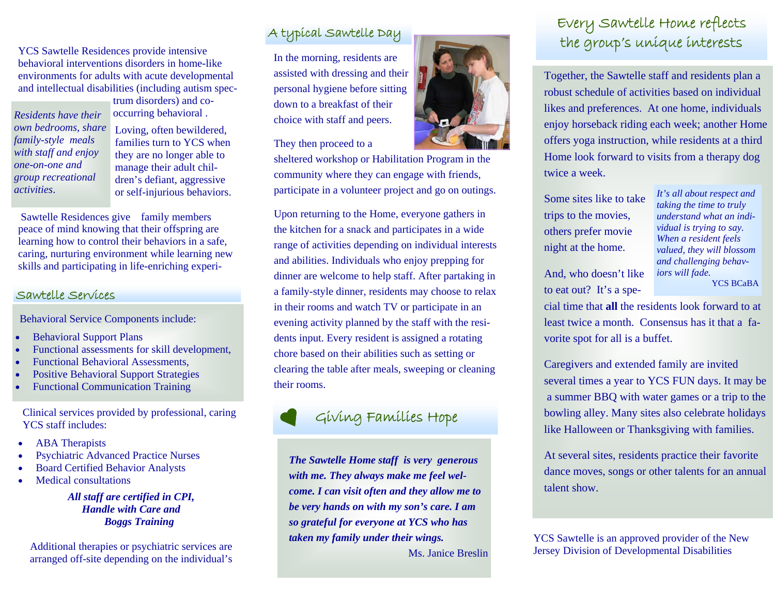YCS Sawtelle Residences provide intensive behavioral interventions disorders in home-like environments for adults with acute developmental and intellectual disabilities (including autism spec-

*Residents have their own bedrooms, share family-style meals with staff and enjoy one-on-one and group recreational activities*.

trum disorders) and cooccurring behavioral .

Loving, often bewildered, families turn to YCS when they are no longer able to manage their adult children's defiant, aggressive or self-injurious behaviors.

 Sawtelle Residences give family members peace of mind knowing that their offspring are learning how to control their behaviors in a safe, caring, nurturing environment while learning new skills and participating in life-enriching experi-

#### Sawtelle Services

Behavioral Service Components include:

- $\bullet$ Behavioral Support Plans
- $\bullet$ Functional assessments for skill development,
- $\bullet$ Functional Behavioral Assessments,
- $\bullet$ Positive Behavioral Support Strategies
- $\bullet$ Functional Communication Training

Clinical services provided by professional, caring YCS staff includes:

- $\bullet$ ABA Therapists
- $\bullet$ Psychiatric Advanced Practice Nurses
- $\bullet$ Board Certified Behavior Analysts
- $\bullet$ Medical consultations

*All staff are certified in CPI, Handle with Care and Boggs Training* 

Additional therapies or psychiatric services are arranged off-site depending on the individual's

## A typical Sawtelle Day

In the morning, residents are assisted with dressing and their personal hygiene before sitting down to a breakfast of their choice with staff and peers.

They then proceed to a

sheltered workshop or Habilitation Program in the community where they can engage with friends, participate in a volunteer project and go on outings.

Upon returning to the Home, everyone gathers in the kitchen for a snack and participates in a wide range of activities depending on individual interests and abilities. Individuals who enjoy prepping for dinner are welcome to help staff. After partaking in a family-style dinner, residents may choose to relax in their rooms and watch TV or participate in an evening activity planned by the staff with the residents input. Every resident is assigned a rotating chore based on their abilities such as setting or clearing the table after meals, sweeping or cleaning their rooms.

# Giving Families Hope

*The Sawtelle Home staff is very generous with me. They always make me feel welcome. I can visit often and they allow me to be very hands on with my son's care. I am so grateful for everyone at YCS who has taken my family under their wings.* 

Ms. Janice Breslin

# Every Sawtelle Home reflects the group's unique interests

Together, the Sawtelle staff and residents plan a robust schedule of activities based on individual likes and preferences. At one home, individuals enjoy horseback riding each week; another Home offers yoga instruction, while residents at a third Home look forward to visits from a therapy dog twice a week.

Some sites like to take trips to the movies, others prefer movie night at the home.

*It's all about respect and taking the time to truly understand what an individual is trying to say. When a resident feels valued, they will blossom and challenging behaviors will fade.*  YCS BCaBA

And, who doesn't like to eat out? It's a spe-

cial time that **all** the residents look forward to at least twice a month. Consensus has it that a favorite spot for all is a buffet.

Caregivers and extended family are invited several times a year to YCS FUN days. It may be a summer BBQ with water games or a trip to the bowling alley. Many sites also celebrate holidays like Halloween or Thanksgiving with families.

At several sites, residents practice their favorite dance moves, songs or other talents for an annual talent show.

YCS Sawtelle is an approved provider of the New Jersey Division of Developmental Disabilities